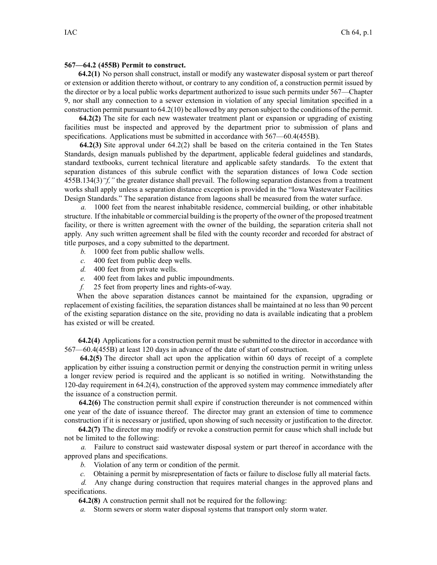## **567—64.2 (455B) Permit to construct.**

**64.2(1)** No person shall construct, install or modify any wastewater disposal system or par<sup>t</sup> thereof or extension or addition thereto without, or contrary to any condition of, <sup>a</sup> construction permit issued by the director or by <sup>a</sup> local public works department authorized to issue such permits under 567—Chapter 9, nor shall any connection to <sup>a</sup> sewer extension in violation of any special limitation specified in <sup>a</sup> construction permit pursuan<sup>t</sup> to 64.2(10) be allowed by any person subject to the conditions of the permit.

**64.2(2)** The site for each new wastewater treatment plant or expansion or upgrading of existing facilities must be inspected and approved by the department prior to submission of plans and specifications. Applications must be submitted in accordance with 567—60.4(455B).

**64.2(3)** Site approval under 64.2(2) shall be based on the criteria contained in the Ten States Standards, design manuals published by the department, applicable federal guidelines and standards, standard textbooks, current technical literature and applicable safety standards. To the extent that separation distances of this subrule conflict with the separation distances of Iowa Code section 455B.134(3)*"f,"* the greater distance shall prevail. The following separation distances from <sup>a</sup> treatment works shall apply unless <sup>a</sup> separation distance exception is provided in the "Iowa Wastewater Facilities Design Standards." The separation distance from lagoons shall be measured from the water surface.

*a.* 1000 feet from the nearest inhabitable residence, commercial building, or other inhabitable structure. If the inhabitable or commercial building isthe property of the owner of the proposed treatment facility, or there is written agreemen<sup>t</sup> with the owner of the building, the separation criteria shall not apply. Any such written agreemen<sup>t</sup> shall be filed with the county recorder and recorded for abstract of title purposes, and <sup>a</sup> copy submitted to the department.

- *b.* 1000 feet from public shallow wells.
- *c.* 400 feet from public deep wells.
- *d.* 400 feet from private wells.
- *e.* 400 feet from lakes and public impoundments.
- *f.* 25 feet from property lines and rights-of-way.

When the above separation distances cannot be maintained for the expansion, upgrading or replacement of existing facilities, the separation distances shall be maintained at no less than 90 percen<sup>t</sup> of the existing separation distance on the site, providing no data is available indicating that <sup>a</sup> problem has existed or will be created.

**64.2(4)** Applications for <sup>a</sup> construction permit must be submitted to the director in accordance with 567—60.4(455B) at least 120 days in advance of the date of start of construction.

**64.2(5)** The director shall act upon the application within 60 days of receipt of <sup>a</sup> complete application by either issuing <sup>a</sup> construction permit or denying the construction permit in writing unless <sup>a</sup> longer review period is required and the applicant is so notified in writing. Notwithstanding the 120-day requirement in 64.2(4), construction of the approved system may commence immediately after the issuance of <sup>a</sup> construction permit.

**64.2(6)** The construction permit shall expire if construction thereunder is not commenced within one year of the date of issuance thereof. The director may gran<sup>t</sup> an extension of time to commence construction if it is necessary or justified, upon showing of such necessity or justification to the director.

**64.2(7)** The director may modify or revoke <sup>a</sup> construction permit for cause which shall include but not be limited to the following:

*a.* Failure to construct said wastewater disposal system or par<sup>t</sup> thereof in accordance with the approved plans and specifications.

- *b.* Violation of any term or condition of the permit.
- *c.* Obtaining <sup>a</sup> permit by misrepresentation of facts or failure to disclose fully all material facts.

*d.* Any change during construction that requires material changes in the approved plans and specifications.

**64.2(8)** A construction permit shall not be required for the following:

*a.* Storm sewers or storm water disposal systems that transport only storm water.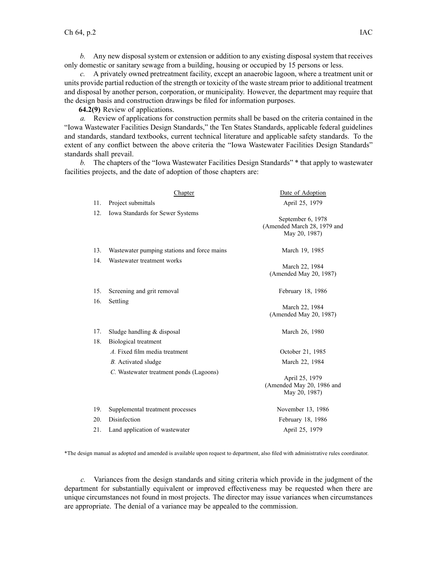*b.* Any new disposal system or extension or addition to any existing disposal system that receives only domestic or sanitary sewage from <sup>a</sup> building, housing or occupied by 15 persons or less.

*c.* A privately owned pretreatment facility, excep<sup>t</sup> an anaerobic lagoon, where <sup>a</sup> treatment unit or units provide partial reduction of the strength or toxicity of the waste stream prior to additional treatment and disposal by another person, corporation, or municipality. However, the department may require that the design basis and construction drawings be filed for information purposes.

**64.2(9)** Review of applications.

*a.* Review of applications for construction permits shall be based on the criteria contained in the "Iowa Wastewater Facilities Design Standards," the Ten States Standards, applicable federal guidelines and standards, standard textbooks, current technical literature and applicable safety standards. To the extent of any conflict between the above criteria the "Iowa Wastewater Facilities Design Standards" standards shall prevail.

*b.* The chapters of the "Iowa Wastewater Facilities Design Standards" \* that apply to wastewater facilities projects, and the date of adoption of those chapters are:

|            | Chapter                                              | Date of Adoption                                                  |
|------------|------------------------------------------------------|-------------------------------------------------------------------|
| 11.        | Project submittals                                   | April 25, 1979                                                    |
| 12.        | Iowa Standards for Sewer Systems                     | September 6, 1978<br>(Amended March 28, 1979 and<br>May 20, 1987) |
| 13.        | Wastewater pumping stations and force mains          | March 19, 1985                                                    |
| 14.        | Wastewater treatment works                           | March 22, 1984<br>(Amended May 20, 1987)                          |
| 15.        | Screening and grit removal                           | February 18, 1986                                                 |
| 16.        | Settling                                             | March 22, 1984<br>(Amended May 20, 1987)                          |
| 17.<br>18. | Sludge handling $&$ disposal<br>Biological treatment | March 26, 1980                                                    |
|            | A. Fixed film media treatment                        | October 21, 1985                                                  |
|            | B. Activated sludge                                  | March 22, 1984                                                    |
|            | C. Wastewater treatment ponds (Lagoons)              | April 25, 1979<br>(Amended May 20, 1986 and<br>May 20, 1987)      |
| 19.        | Supplemental treatment processes                     | November 13, 1986                                                 |
| 20.        | Disinfection                                         | February 18, 1986                                                 |
| 21.        | Land application of wastewater                       | April 25, 1979                                                    |

\*The design manual as adopted and amended is available upon reques<sup>t</sup> to department, also filed with administrative rules coordinator.

*c.* Variances from the design standards and siting criteria which provide in the judgment of the department for substantially equivalent or improved effectiveness may be requested when there are unique circumstances not found in most projects. The director may issue variances when circumstances are appropriate. The denial of <sup>a</sup> variance may be appealed to the commission.